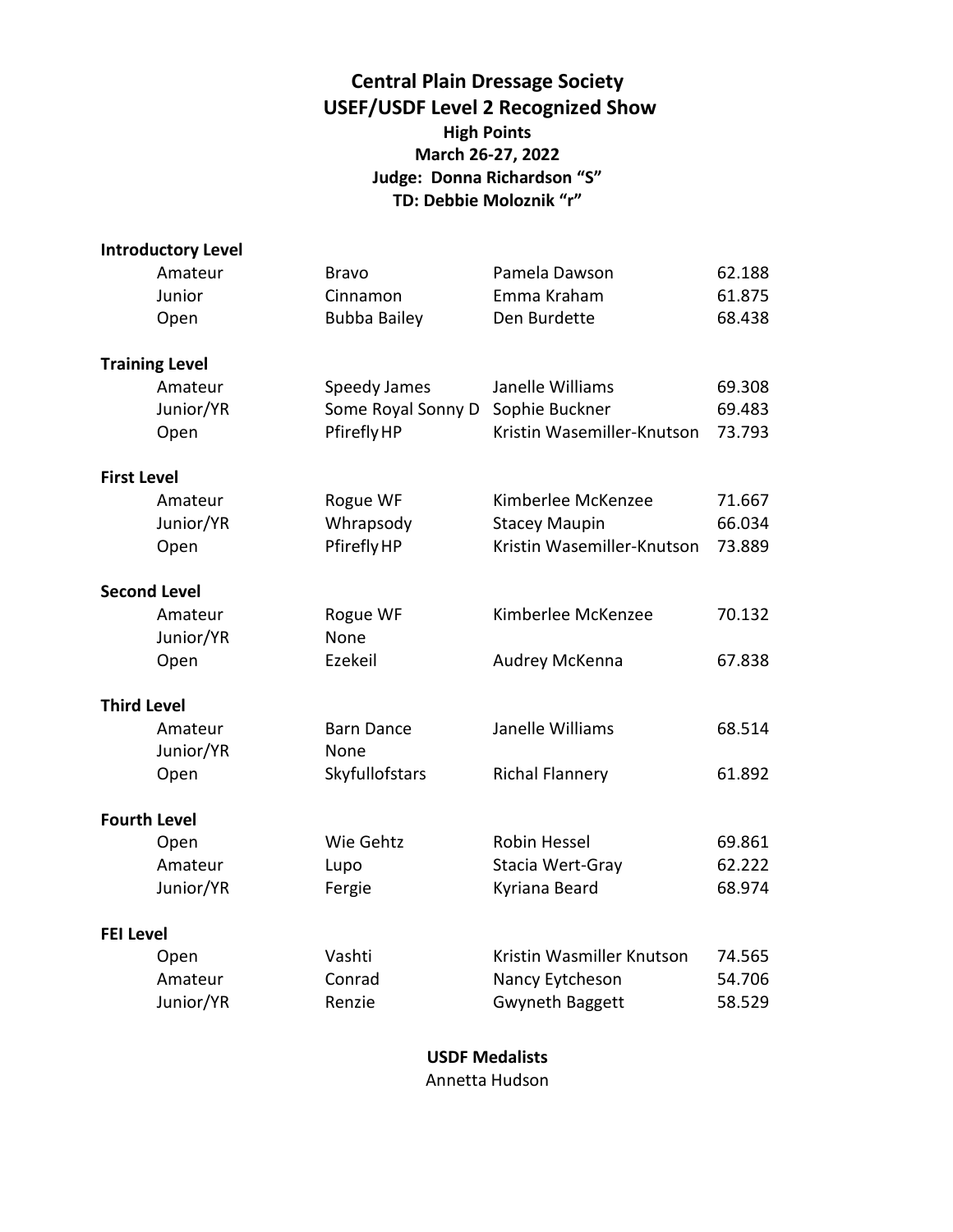# **Central Plain Dressage Society USEF/USDF Level 2 Recognized Show High Points March 26-27, 2022 Judge: Donna Richardson "S" TD: Debbie Moloznik "r"**

|                    | <b>Introductory Level</b> |                     |                            |        |
|--------------------|---------------------------|---------------------|----------------------------|--------|
|                    | Amateur                   | <b>Bravo</b>        | Pamela Dawson              | 62.188 |
|                    | Junior                    | Cinnamon            | Emma Kraham                | 61.875 |
|                    | Open                      | <b>Bubba Bailey</b> | Den Burdette               | 68.438 |
|                    | <b>Training Level</b>     |                     |                            |        |
|                    | Amateur                   | Speedy James        | Janelle Williams           | 69.308 |
|                    | Junior/YR                 | Some Royal Sonny D  | Sophie Buckner             | 69.483 |
|                    | Open                      | Pfirefly HP         | Kristin Wasemiller-Knutson | 73.793 |
| <b>First Level</b> |                           |                     |                            |        |
|                    | Amateur                   | Rogue WF            | Kimberlee McKenzee         | 71.667 |
|                    | Junior/YR                 | Whrapsody           | <b>Stacey Maupin</b>       | 66.034 |
|                    | Open                      | Pfirefly HP         | Kristin Wasemiller-Knutson | 73.889 |
|                    | <b>Second Level</b>       |                     |                            |        |
|                    | Amateur                   | Rogue WF            | Kimberlee McKenzee         | 70.132 |
|                    | Junior/YR                 | None                |                            |        |
|                    | Open                      | Ezekeil             | Audrey McKenna             | 67.838 |
| <b>Third Level</b> |                           |                     |                            |        |
|                    | Amateur                   | <b>Barn Dance</b>   | Janelle Williams           | 68.514 |
|                    | Junior/YR                 | None                |                            |        |
|                    | Open                      | Skyfullofstars      | <b>Richal Flannery</b>     | 61.892 |
|                    | <b>Fourth Level</b>       |                     |                            |        |
|                    | Open                      | Wie Gehtz           | Robin Hessel               | 69.861 |
|                    | Amateur                   | Lupo                | Stacia Wert-Gray           | 62.222 |
|                    | Junior/YR                 | Fergie              | Kyriana Beard              | 68.974 |
| <b>FEI Level</b>   |                           |                     |                            |        |
|                    | Open                      | Vashti              | Kristin Wasmiller Knutson  | 74.565 |
|                    | Amateur                   | Conrad              | Nancy Eytcheson            | 54.706 |
|                    | Junior/YR                 | Renzie              | <b>Gwyneth Baggett</b>     | 58.529 |

**USDF Medalists** Annetta Hudson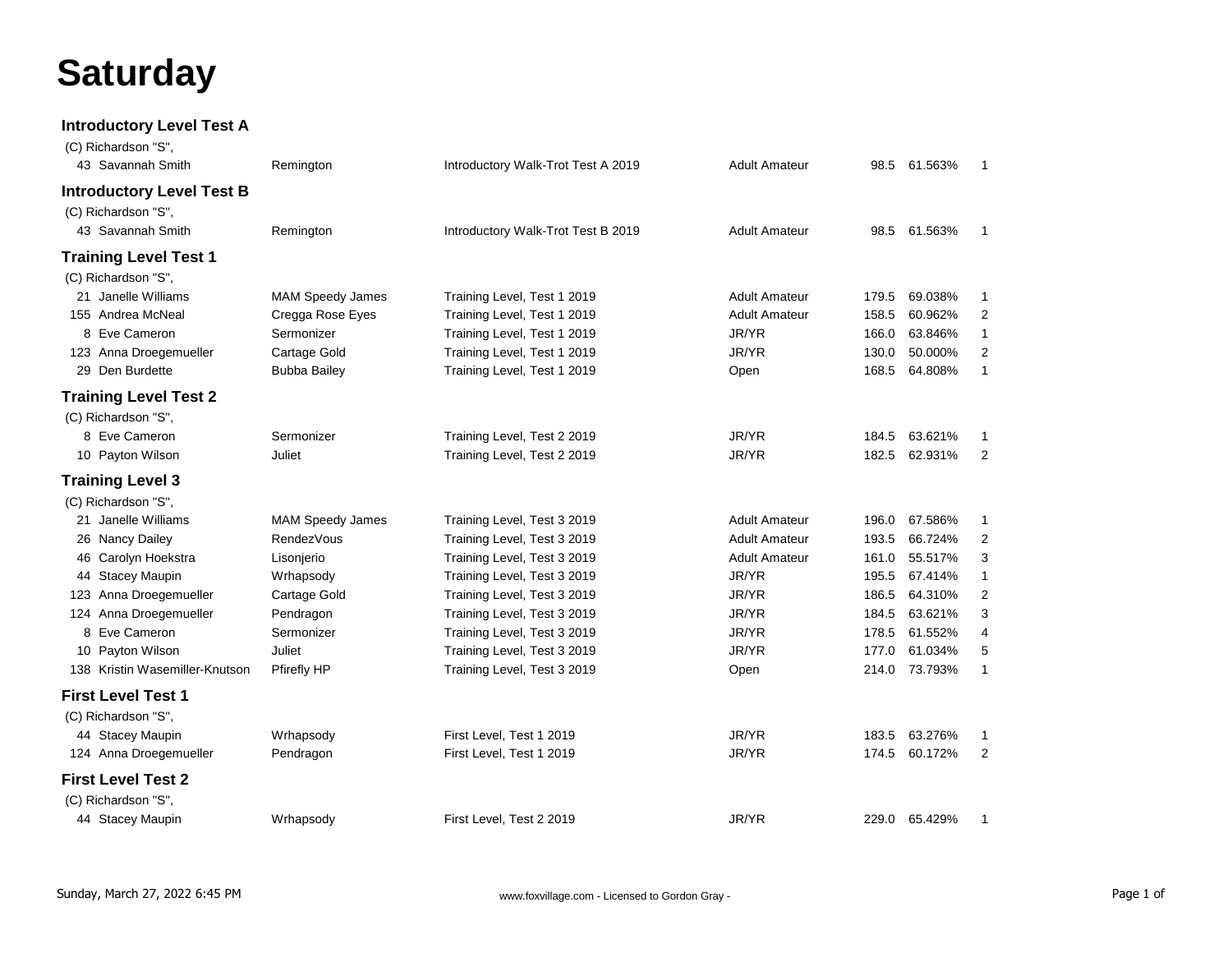# **Saturday**

**Introductory Level Test A**

| (C) Richardson "S",<br>43 Savannah Smith | Remington               | Introductory Walk-Trot Test A 2019 | <b>Adult Amateur</b> | 98.5  | 61.563%       | $\mathbf{1}$   |
|------------------------------------------|-------------------------|------------------------------------|----------------------|-------|---------------|----------------|
|                                          |                         |                                    |                      |       |               |                |
| <b>Introductory Level Test B</b>         |                         |                                    |                      |       |               |                |
| (C) Richardson "S",                      |                         |                                    |                      |       |               |                |
| 43 Savannah Smith                        | Remington               | Introductory Walk-Trot Test B 2019 | <b>Adult Amateur</b> | 98.5  | 61.563%       | $\mathbf{1}$   |
| <b>Training Level Test 1</b>             |                         |                                    |                      |       |               |                |
| (C) Richardson "S",                      |                         |                                    |                      |       |               |                |
| 21 Janelle Williams                      | <b>MAM Speedy James</b> | Training Level, Test 1 2019        | <b>Adult Amateur</b> | 179.5 | 69.038%       | -1             |
| 155 Andrea McNeal                        | Cregga Rose Eyes        | Training Level, Test 1 2019        | <b>Adult Amateur</b> | 158.5 | 60.962%       | 2              |
| 8 Eve Cameron                            | Sermonizer              | Training Level, Test 1 2019        | JR/YR                | 166.0 | 63.846%       | $\mathbf{1}$   |
| 123 Anna Droegemueller                   | Cartage Gold            | Training Level, Test 1 2019        | JR/YR                | 130.0 | 50.000%       | 2              |
| 29 Den Burdette                          | <b>Bubba Bailey</b>     | Training Level, Test 1 2019        | Open                 | 168.5 | 64.808%       | $\mathbf{1}$   |
| <b>Training Level Test 2</b>             |                         |                                    |                      |       |               |                |
| (C) Richardson "S",                      |                         |                                    |                      |       |               |                |
| 8 Eve Cameron                            | Sermonizer              | Training Level, Test 2 2019        | JR/YR                | 184.5 | 63.621%       | -1             |
| 10 Payton Wilson                         | Juliet                  | Training Level, Test 2 2019        | JR/YR                | 182.5 | 62.931%       | 2              |
| <b>Training Level 3</b>                  |                         |                                    |                      |       |               |                |
| (C) Richardson "S",                      |                         |                                    |                      |       |               |                |
| 21 Janelle Williams                      | <b>MAM Speedy James</b> | Training Level, Test 3 2019        | <b>Adult Amateur</b> | 196.0 | 67.586%       | -1             |
| 26 Nancy Dailey                          | <b>RendezVous</b>       | Training Level, Test 3 2019        | <b>Adult Amateur</b> | 193.5 | 66.724%       | 2              |
| 46 Carolyn Hoekstra                      | Lisonjerio              | Training Level, Test 3 2019        | <b>Adult Amateur</b> | 161.0 | 55.517%       | 3              |
| 44 Stacey Maupin                         | Wrhapsody               | Training Level, Test 3 2019        | JR/YR                | 195.5 | 67.414%       | $\mathbf{1}$   |
| 123 Anna Droegemueller                   | Cartage Gold            | Training Level, Test 3 2019        | JR/YR                | 186.5 | 64.310%       | $\overline{2}$ |
| 124 Anna Droegemueller                   | Pendragon               | Training Level, Test 3 2019        | JR/YR                | 184.5 | 63.621%       | 3              |
| 8 Eve Cameron                            | Sermonizer              | Training Level, Test 3 2019        | JR/YR                | 178.5 | 61.552%       | 4              |
| 10 Payton Wilson                         | Juliet                  | Training Level, Test 3 2019        | JR/YR                | 177.0 | 61.034%       | 5              |
| 138 Kristin Wasemiller-Knutson           | Pfirefly HP             | Training Level, Test 3 2019        | Open                 | 214.0 | 73.793%       | $\mathbf{1}$   |
| <b>First Level Test 1</b>                |                         |                                    |                      |       |               |                |
| (C) Richardson "S",                      |                         |                                    |                      |       |               |                |
| 44 Stacey Maupin                         | Wrhapsody               | First Level, Test 1 2019           | JR/YR                | 183.5 | 63.276%       | $\mathbf 1$    |
| 124 Anna Droegemueller                   | Pendragon               | First Level, Test 1 2019           | JR/YR                | 174.5 | 60.172%       | 2              |
| <b>First Level Test 2</b>                |                         |                                    |                      |       |               |                |
| (C) Richardson "S",                      |                         |                                    |                      |       |               |                |
| 44 Stacey Maupin                         | Wrhapsody               | First Level, Test 2 2019           | JR/YR                |       | 229.0 65.429% | -1             |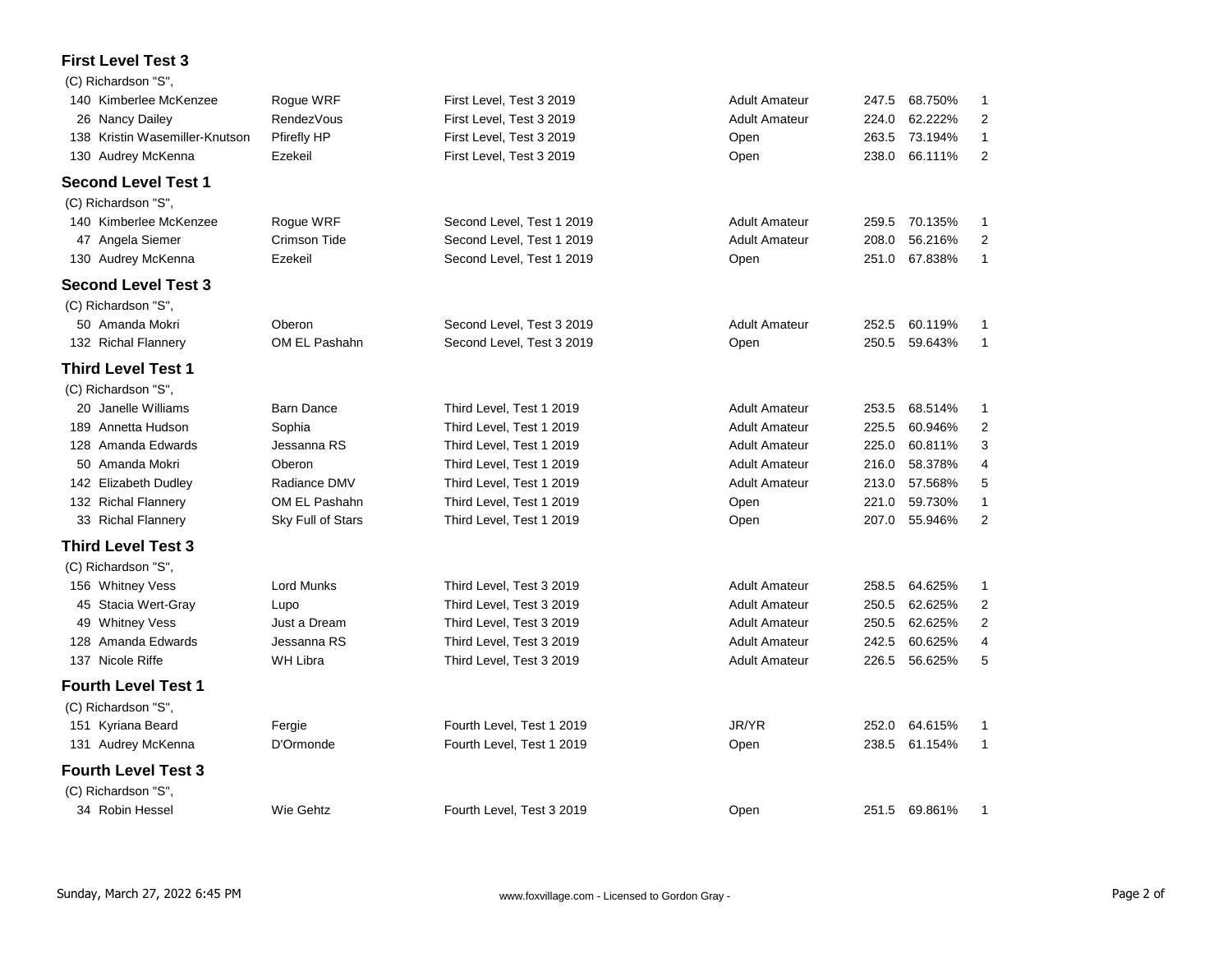### **First Level Test 3**

|     | (C) Richardson "S",            |                     |                           |                      |       |               |                |
|-----|--------------------------------|---------------------|---------------------------|----------------------|-------|---------------|----------------|
|     | 140 Kimberlee McKenzee         | Rogue WRF           | First Level, Test 3 2019  | <b>Adult Amateur</b> | 247.5 | 68.750%       | 1              |
|     | 26 Nancy Dailey                | <b>RendezVous</b>   | First Level, Test 3 2019  | <b>Adult Amateur</b> | 224.0 | 62.222%       | $\overline{2}$ |
|     | 138 Kristin Wasemiller-Knutson | Pfirefly HP         | First Level, Test 3 2019  | Open                 | 263.5 | 73.194%       | $\mathbf{1}$   |
| 130 | Audrey McKenna                 | Ezekeil             | First Level, Test 3 2019  | Open                 | 238.0 | 66.111%       | $\overline{2}$ |
|     | <b>Second Level Test 1</b>     |                     |                           |                      |       |               |                |
|     | (C) Richardson "S",            |                     |                           |                      |       |               |                |
|     | 140 Kimberlee McKenzee         | Roque WRF           | Second Level, Test 1 2019 | <b>Adult Amateur</b> | 259.5 | 70.135%       | 1              |
|     | 47 Angela Siemer               | <b>Crimson Tide</b> | Second Level, Test 1 2019 | <b>Adult Amateur</b> | 208.0 | 56.216%       | $\overline{2}$ |
|     | 130 Audrey McKenna             | Ezekeil             | Second Level, Test 1 2019 | Open                 | 251.0 | 67.838%       | $\mathbf{1}$   |
|     | <b>Second Level Test 3</b>     |                     |                           |                      |       |               |                |
|     | (C) Richardson "S",            |                     |                           |                      |       |               |                |
|     | 50 Amanda Mokri                | Oberon              | Second Level, Test 3 2019 | <b>Adult Amateur</b> | 252.5 | 60.119%       | 1              |
|     | 132 Richal Flannery            | OM EL Pashahn       | Second Level, Test 3 2019 | Open                 | 250.5 | 59.643%       | $\mathbf{1}$   |
|     | <b>Third Level Test 1</b>      |                     |                           |                      |       |               |                |
|     | (C) Richardson "S",            |                     |                           |                      |       |               |                |
|     | 20 Janelle Williams            | <b>Barn Dance</b>   | Third Level, Test 1 2019  | <b>Adult Amateur</b> | 253.5 | 68.514%       | 1              |
|     | 189 Annetta Hudson             | Sophia              | Third Level, Test 1 2019  | <b>Adult Amateur</b> | 225.5 | 60.946%       | $\overline{2}$ |
|     | 128 Amanda Edwards             | Jessanna RS         | Third Level, Test 1 2019  | <b>Adult Amateur</b> | 225.0 | 60.811%       | 3              |
|     | 50 Amanda Mokri                | Oberon              | Third Level, Test 1 2019  | <b>Adult Amateur</b> | 216.0 | 58.378%       | 4              |
|     | 142 Elizabeth Dudley           | Radiance DMV        | Third Level, Test 1 2019  | <b>Adult Amateur</b> | 213.0 | 57.568%       | 5              |
|     | 132 Richal Flannery            | OM EL Pashahn       | Third Level, Test 1 2019  | Open                 | 221.0 | 59.730%       | $\mathbf{1}$   |
|     | 33 Richal Flannery             | Sky Full of Stars   | Third Level, Test 1 2019  | Open                 | 207.0 | 55.946%       | $\overline{2}$ |
|     | <b>Third Level Test 3</b>      |                     |                           |                      |       |               |                |
|     | (C) Richardson "S",            |                     |                           |                      |       |               |                |
|     | 156 Whitney Vess               | <b>Lord Munks</b>   | Third Level, Test 3 2019  | <b>Adult Amateur</b> | 258.5 | 64.625%       | $\mathbf{1}$   |
|     | 45 Stacia Wert-Gray            | Lupo                | Third Level, Test 3 2019  | <b>Adult Amateur</b> | 250.5 | 62.625%       | $\overline{2}$ |
|     | 49 Whitney Vess                | Just a Dream        | Third Level, Test 3 2019  | <b>Adult Amateur</b> | 250.5 | 62.625%       | $\overline{2}$ |
|     | 128 Amanda Edwards             | Jessanna RS         | Third Level, Test 3 2019  | <b>Adult Amateur</b> | 242.5 | 60.625%       | $\overline{4}$ |
|     | 137 Nicole Riffe               | <b>WH Libra</b>     | Third Level, Test 3 2019  | <b>Adult Amateur</b> | 226.5 | 56.625%       | 5              |
|     | <b>Fourth Level Test 1</b>     |                     |                           |                      |       |               |                |
|     | (C) Richardson "S",            |                     |                           |                      |       |               |                |
|     | 151 Kyriana Beard              | Fergie              | Fourth Level, Test 1 2019 | JR/YR                | 252.0 | 64.615%       | 1              |
|     | 131 Audrey McKenna             | D'Ormonde           | Fourth Level, Test 1 2019 | Open                 | 238.5 | 61.154%       | $\mathbf{1}$   |
|     | <b>Fourth Level Test 3</b>     |                     |                           |                      |       |               |                |
|     | (C) Richardson "S",            |                     |                           |                      |       |               |                |
|     | 34 Robin Hessel                | Wie Gehtz           | Fourth Level, Test 3 2019 | Open                 |       | 251.5 69.861% | 1              |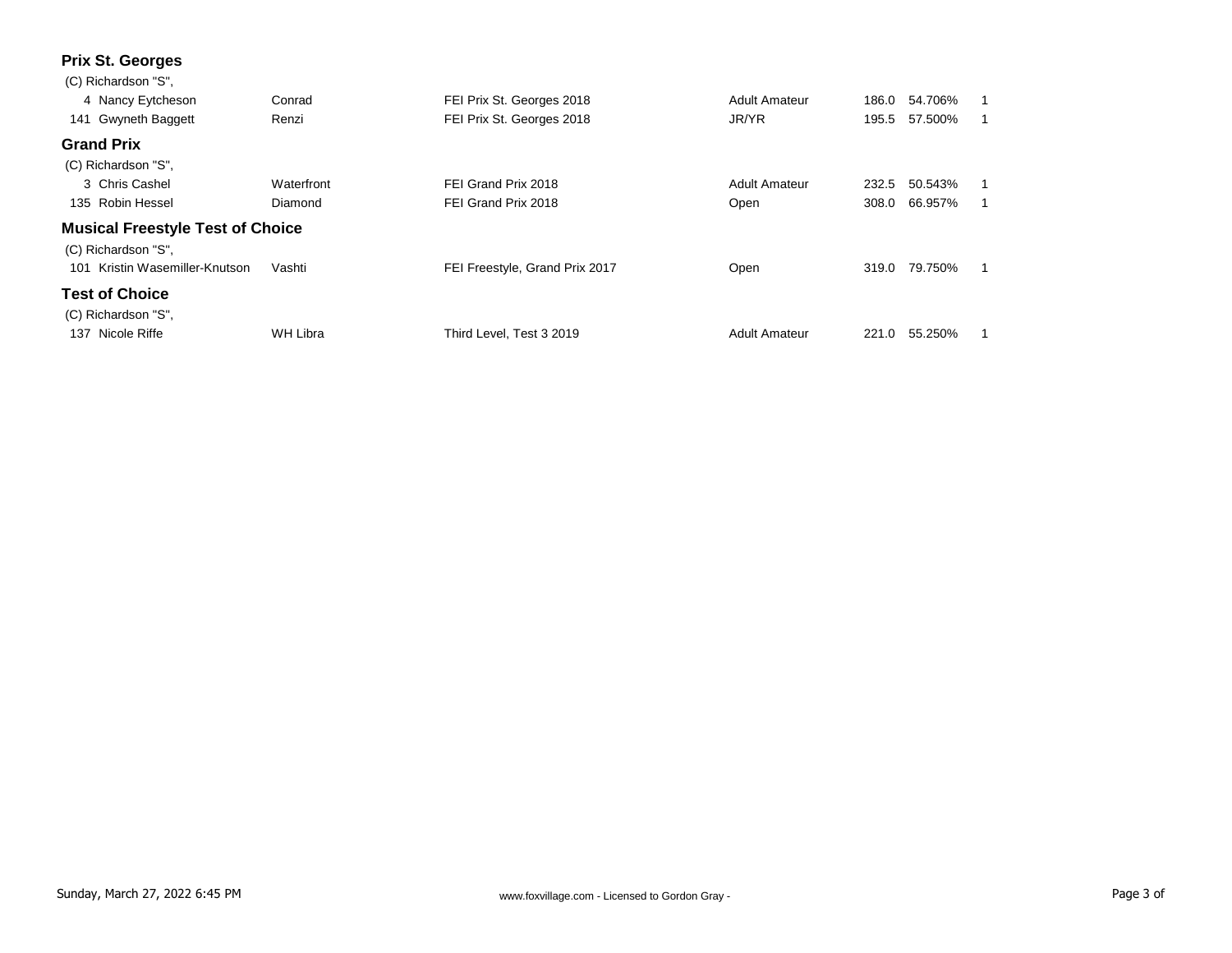## **Prix St. Georges**

| (C) Richardson "S",                     |            |                                |                      |       |               |  |
|-----------------------------------------|------------|--------------------------------|----------------------|-------|---------------|--|
| 4 Nancy Eytcheson                       | Conrad     | FEI Prix St. Georges 2018      | <b>Adult Amateur</b> | 186.0 | 54.706%       |  |
| 141 Gwyneth Baggett                     | Renzi      | FEI Prix St. Georges 2018      | JR/YR                |       | 195.5 57.500% |  |
| <b>Grand Prix</b>                       |            |                                |                      |       |               |  |
| (C) Richardson "S",                     |            |                                |                      |       |               |  |
| 3 Chris Cashel                          | Waterfront | FEI Grand Prix 2018            | <b>Adult Amateur</b> | 232.5 | 50.543%       |  |
| 135 Robin Hessel                        | Diamond    | FEI Grand Prix 2018            | Open                 | 308.0 | 66.957%       |  |
| <b>Musical Freestyle Test of Choice</b> |            |                                |                      |       |               |  |
| (C) Richardson "S".                     |            |                                |                      |       |               |  |
| Kristin Wasemiller-Knutson<br>101       | Vashti     | FEI Freestyle, Grand Prix 2017 | Open                 | 319.0 | 79.750%       |  |
| <b>Test of Choice</b>                   |            |                                |                      |       |               |  |
| (C) Richardson "S".                     |            |                                |                      |       |               |  |
| Nicole Riffe<br>137                     | WH Libra   | Third Level. Test 3 2019       | <b>Adult Amateur</b> | 221.0 | 55.250%       |  |
|                                         |            |                                |                      |       |               |  |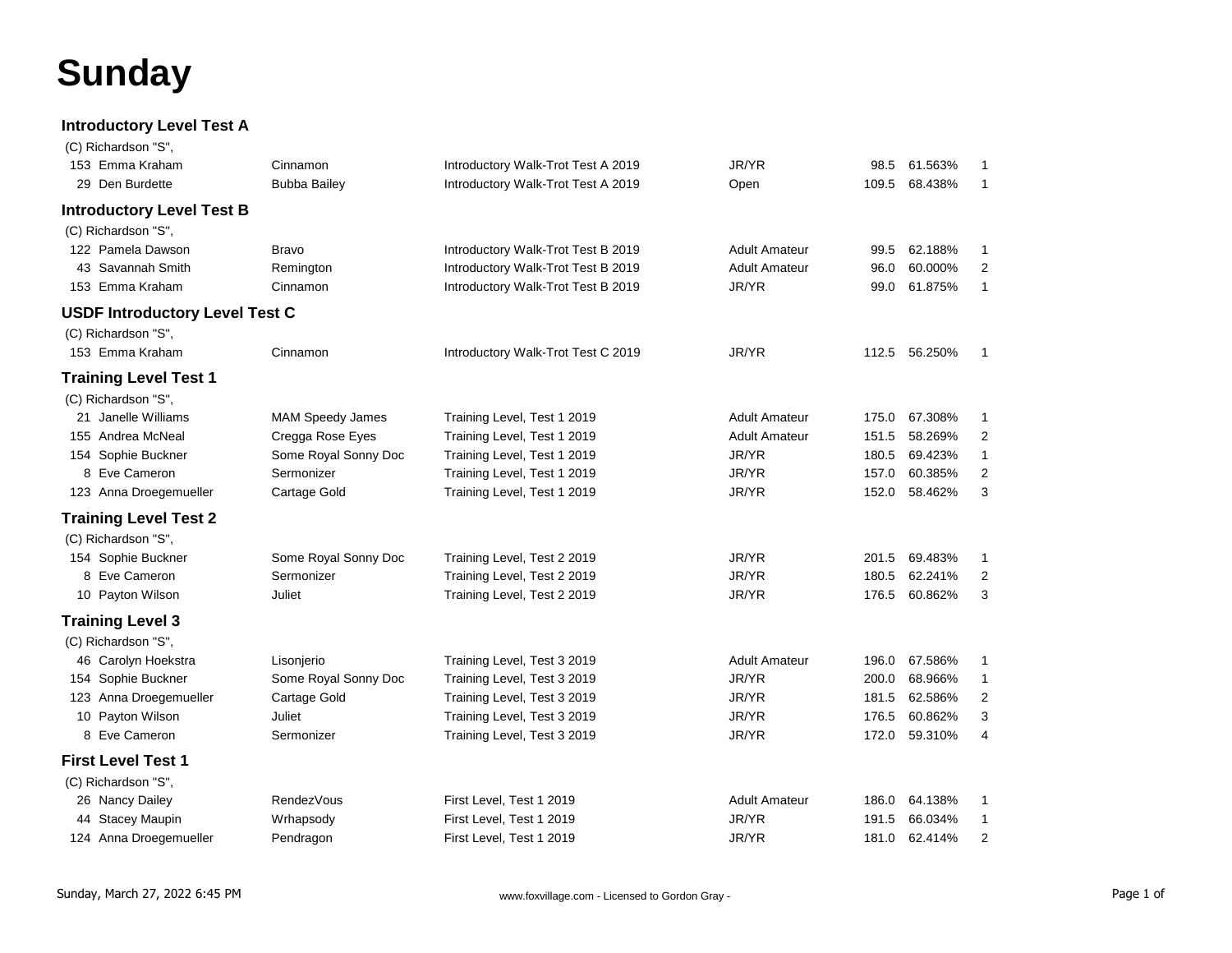# **Sunday**

#### **Introductory Level Test A**

| (C) Richardson "S",                   |                         |                                    |                      |       |               |                |
|---------------------------------------|-------------------------|------------------------------------|----------------------|-------|---------------|----------------|
| 153 Emma Kraham                       | Cinnamon                | Introductory Walk-Trot Test A 2019 | JR/YR                | 98.5  | 61.563%       | $\mathbf{1}$   |
| 29 Den Burdette                       | <b>Bubba Bailey</b>     | Introductory Walk-Trot Test A 2019 | Open                 | 109.5 | 68.438%       | $\mathbf{1}$   |
| <b>Introductory Level Test B</b>      |                         |                                    |                      |       |               |                |
| (C) Richardson "S",                   |                         |                                    |                      |       |               |                |
| 122 Pamela Dawson                     | <b>Bravo</b>            | Introductory Walk-Trot Test B 2019 | <b>Adult Amateur</b> | 99.5  | 62.188%       | -1             |
| 43 Savannah Smith                     | Remington               | Introductory Walk-Trot Test B 2019 | <b>Adult Amateur</b> | 96.0  | 60.000%       | 2              |
| 153 Emma Kraham                       | Cinnamon                | Introductory Walk-Trot Test B 2019 | JR/YR                | 99.0  | 61.875%       | $\mathbf{1}$   |
| <b>USDF Introductory Level Test C</b> |                         |                                    |                      |       |               |                |
| (C) Richardson "S",                   |                         |                                    |                      |       |               |                |
| 153 Emma Kraham                       | Cinnamon                | Introductory Walk-Trot Test C 2019 | JR/YR                |       | 112.5 56.250% | $\mathbf{1}$   |
| <b>Training Level Test 1</b>          |                         |                                    |                      |       |               |                |
| (C) Richardson "S",                   |                         |                                    |                      |       |               |                |
| 21 Janelle Williams                   | <b>MAM Speedy James</b> | Training Level, Test 1 2019        | <b>Adult Amateur</b> | 175.0 | 67.308%       | $\mathbf{1}$   |
| 155 Andrea McNeal                     | Cregga Rose Eyes        | Training Level, Test 1 2019        | <b>Adult Amateur</b> | 151.5 | 58.269%       | $\overline{2}$ |
| 154 Sophie Buckner                    | Some Royal Sonny Doc    | Training Level, Test 1 2019        | JR/YR                | 180.5 | 69.423%       | $\mathbf{1}$   |
| 8 Eve Cameron                         | Sermonizer              | Training Level, Test 1 2019        | JR/YR                | 157.0 | 60.385%       | 2              |
| 123 Anna Droegemueller                | Cartage Gold            | Training Level, Test 1 2019        | JR/YR                | 152.0 | 58.462%       | 3              |
| <b>Training Level Test 2</b>          |                         |                                    |                      |       |               |                |
| (C) Richardson "S",                   |                         |                                    |                      |       |               |                |
| 154 Sophie Buckner                    | Some Royal Sonny Doc    | Training Level, Test 2 2019        | JR/YR                | 201.5 | 69.483%       | -1             |
| 8 Eve Cameron                         | Sermonizer              | Training Level, Test 2 2019        | JR/YR                | 180.5 | 62.241%       | 2              |
| 10 Payton Wilson                      | Juliet                  | Training Level, Test 2 2019        | JR/YR                | 176.5 | 60.862%       | 3              |
| <b>Training Level 3</b>               |                         |                                    |                      |       |               |                |
| (C) Richardson "S",                   |                         |                                    |                      |       |               |                |
| 46 Carolyn Hoekstra                   | Lisonjerio              | Training Level, Test 3 2019        | <b>Adult Amateur</b> | 196.0 | 67.586%       | -1             |
| 154 Sophie Buckner                    | Some Royal Sonny Doc    | Training Level, Test 3 2019        | JR/YR                | 200.0 | 68.966%       | $\mathbf{1}$   |
| 123 Anna Droegemueller                | Cartage Gold            | Training Level, Test 3 2019        | JR/YR                | 181.5 | 62.586%       | 2              |
| 10 Payton Wilson                      | Juliet                  | Training Level, Test 3 2019        | JR/YR                | 176.5 | 60.862%       | 3              |
| 8 Eve Cameron                         | Sermonizer              | Training Level, Test 3 2019        | JR/YR                | 172.0 | 59.310%       | 4              |
| <b>First Level Test 1</b>             |                         |                                    |                      |       |               |                |
| (C) Richardson "S",                   |                         |                                    |                      |       |               |                |
| 26 Nancy Dailey                       | <b>RendezVous</b>       | First Level, Test 1 2019           | <b>Adult Amateur</b> | 186.0 | 64.138%       | -1             |
| 44 Stacey Maupin                      | Wrhapsody               | First Level, Test 1 2019           | JR/YR                | 191.5 | 66.034%       | $\mathbf{1}$   |
| 124 Anna Droegemueller                | Pendragon               | First Level, Test 1 2019           | JR/YR                | 181.0 | 62.414%       | $\overline{c}$ |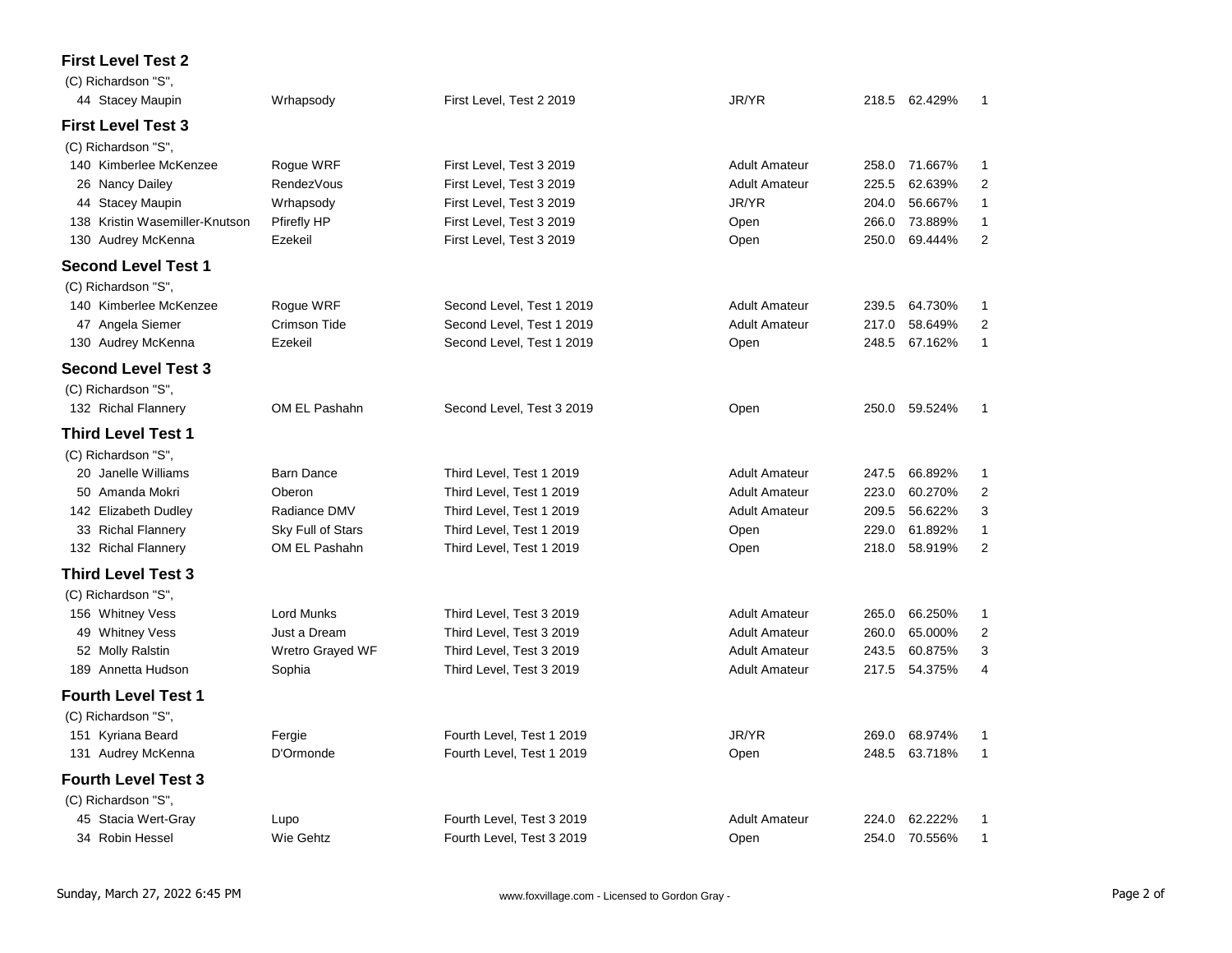#### **First Level Test 2**

| (C) Richardson "S".            |                    |                           |                      |       |               |                |
|--------------------------------|--------------------|---------------------------|----------------------|-------|---------------|----------------|
| 44 Stacey Maupin               | Wrhapsody          | First Level, Test 2 2019  | JR/YR                |       | 218.5 62.429% | 1              |
| <b>First Level Test 3</b>      |                    |                           |                      |       |               |                |
| (C) Richardson "S",            |                    |                           |                      |       |               |                |
| 140 Kimberlee McKenzee         | Rogue WRF          | First Level, Test 3 2019  | <b>Adult Amateur</b> | 258.0 | 71.667%       | 1              |
| 26 Nancy Dailey                | <b>RendezVous</b>  | First Level, Test 3 2019  | <b>Adult Amateur</b> | 225.5 | 62.639%       | $\overline{2}$ |
| 44 Stacey Maupin               | Wrhapsody          | First Level, Test 3 2019  | JR/YR                | 204.0 | 56.667%       | $\mathbf{1}$   |
| 138 Kristin Wasemiller-Knutson | <b>Pfirefly HP</b> | First Level, Test 3 2019  | Open                 | 266.0 | 73.889%       | $\mathbf{1}$   |
| 130 Audrey McKenna             | Ezekeil            | First Level, Test 3 2019  | Open                 | 250.0 | 69.444%       | $\overline{2}$ |
| Second Level Test 1            |                    |                           |                      |       |               |                |
| (C) Richardson "S",            |                    |                           |                      |       |               |                |
| 140 Kimberlee McKenzee         | Rogue WRF          | Second Level, Test 1 2019 | <b>Adult Amateur</b> | 239.5 | 64.730%       | 1              |
| 47 Angela Siemer               | Crimson Tide       | Second Level, Test 1 2019 | <b>Adult Amateur</b> | 217.0 | 58.649%       | $\overline{2}$ |
| 130 Audrey McKenna             | Ezekeil            | Second Level, Test 1 2019 | Open                 | 248.5 | 67.162%       | $\mathbf{1}$   |
| <b>Second Level Test 3</b>     |                    |                           |                      |       |               |                |
| (C) Richardson "S",            |                    |                           |                      |       |               |                |
| 132 Richal Flannery            | OM EL Pashahn      | Second Level, Test 3 2019 | Open                 | 250.0 | 59.524%       | $\mathbf{1}$   |
| Third Level Test 1             |                    |                           |                      |       |               |                |
| (C) Richardson "S",            |                    |                           |                      |       |               |                |
| 20 Janelle Williams            | <b>Barn Dance</b>  | Third Level, Test 1 2019  | <b>Adult Amateur</b> | 247.5 | 66.892%       | 1              |
| 50 Amanda Mokri                | Oberon             | Third Level, Test 1 2019  | <b>Adult Amateur</b> | 223.0 | 60.270%       | $\overline{2}$ |
| 142 Elizabeth Dudley           | Radiance DMV       | Third Level, Test 1 2019  | <b>Adult Amateur</b> | 209.5 | 56.622%       | 3              |
| 33 Richal Flannery             | Sky Full of Stars  | Third Level, Test 1 2019  | Open                 | 229.0 | 61.892%       | $\mathbf{1}$   |
| 132 Richal Flannery            | OM EL Pashahn      | Third Level, Test 1 2019  | Open                 | 218.0 | 58.919%       | $\overline{2}$ |
| <b>Third Level Test 3</b>      |                    |                           |                      |       |               |                |
| (C) Richardson "S",            |                    |                           |                      |       |               |                |
| 156 Whitney Vess               | <b>Lord Munks</b>  | Third Level, Test 3 2019  | <b>Adult Amateur</b> | 265.0 | 66.250%       | $\mathbf{1}$   |
| 49 Whitney Vess                | Just a Dream       | Third Level, Test 3 2019  | <b>Adult Amateur</b> | 260.0 | 65.000%       | $\overline{2}$ |
| 52 Molly Ralstin               | Wretro Grayed WF   | Third Level, Test 3 2019  | <b>Adult Amateur</b> | 243.5 | 60.875%       | 3              |
| 189 Annetta Hudson             | Sophia             | Third Level, Test 3 2019  | <b>Adult Amateur</b> | 217.5 | 54.375%       | 4              |
| <b>Fourth Level Test 1</b>     |                    |                           |                      |       |               |                |
| (C) Richardson "S",            |                    |                           |                      |       |               |                |
| 151 Kyriana Beard              | Fergie             | Fourth Level, Test 1 2019 | JR/YR                | 269.0 | 68.974%       | 1              |
| 131 Audrey McKenna             | D'Ormonde          | Fourth Level, Test 1 2019 | Open                 | 248.5 | 63.718%       | $\mathbf{1}$   |
| <b>Fourth Level Test 3</b>     |                    |                           |                      |       |               |                |
| (C) Richardson "S",            |                    |                           |                      |       |               |                |
| 45 Stacia Wert-Gray            | Lupo               | Fourth Level, Test 3 2019 | <b>Adult Amateur</b> | 224.0 | 62.222%       | 1              |
| 34 Robin Hessel                | Wie Gehtz          | Fourth Level, Test 3 2019 | Open                 |       | 254.0 70.556% | 1              |
|                                |                    |                           |                      |       |               |                |